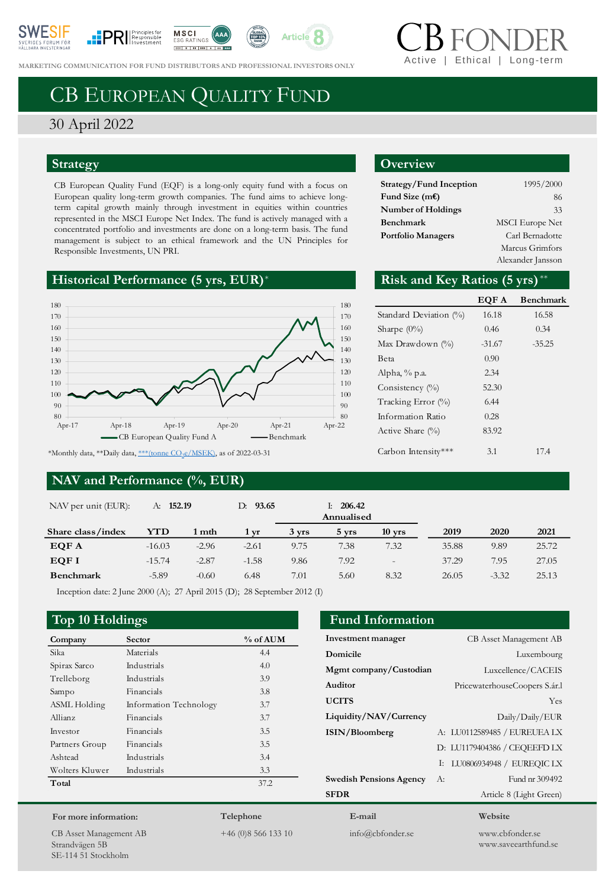







**MARKETING COMMUNICATION FOR FUND DISTRIBUTORS AND PROFESSIONAL INVESTORS ONLY** 

# CB EUROPEAN QUALITY FUND

## 30 April 2022

### **Strategy**

CB European Quality Fund (EQF) is a long-only equity fund with a focus on European quality long-term growth companies. The fund aims to achieve longterm capital growth mainly through investment in equities within countries represented in the MSCI Europe Net Index. The fund is actively managed with a concentrated portfolio and investments are done on a long-term basis. The fund management is subject to an ethical framework and the UN Principles for Responsible Investments, UN PRI.

## **Historical Performance (5 yrs, EUR)**\*



### **NAV and Performance (%, EUR)**

### **Overview**

| Strategy/Fund Inception   | 1995/2000              |
|---------------------------|------------------------|
| Fund Size $(mE)$          | 86                     |
| <b>Number of Holdings</b> | 33                     |
| Benchmark                 | <b>MSCI</b> Europe Net |
| <b>Portfolio Managers</b> | Carl Bernadotte        |
|                           | Marcus Grimfors        |
|                           | Alexander Jansson      |

Ethical | Long-terr

### Risk and Key Ratios (5 yrs)\*\*

|                        | EQF A    | <b>Benchmark</b> |
|------------------------|----------|------------------|
| Standard Deviation (%) | 16.18    | 16.58            |
| Sharpe $(0\%)$         | 0.46     | 0.34             |
| Max Drawdown $(\% )$   | $-31.67$ | $-35.25$         |
| Beta                   | 0.90     |                  |
| Alpha, % p.a.          | 2.34     |                  |
| Consistency $(\%)$     | 52.30    |                  |
| Tracking Error (%)     | 6.44     |                  |
| Information Ratio      | 0.28     |                  |
| Active Share $(\%)$    | 83.92    |                  |
| Carbon Intensity***    | 3.1      | 174              |

**Investment manager** CB Asset Management AB **Domicile** Luxembourg **Mgmt company/Custodian** Luxcellence/CACEIS **Auditor** PricewaterhouseCoopers S.ár.l **UCITS** Yes **Liquidity/NAV/Currency** Daily/Daily/EUR **ISIN/Bloomberg** A: LU0112589485 / EUREUEA LX

**Swedish Pensions Agency** A: Fund nr 309492 **SFDR** Article 8 (Light Green)

| NAV per unit (EUR): | A: 152.19 |         | 93.65<br>D: |       | 206.42<br>Ŀ.<br>Annualised |                   |       |         |       |
|---------------------|-----------|---------|-------------|-------|----------------------------|-------------------|-------|---------|-------|
| Share class/index   | YTD       | 1 mth   | 1 yr        | 3 yrs | 5 yrs                      | $10$ yrs          | 2019  | 2020    | 2021  |
| EQF A               | $-16.03$  | $-2.96$ | $-2.61$     | 9.75  | 7.38                       | 7.32              | 35.88 | 9.89    | 25.72 |
| EQF I               | $-15.74$  | $-2.87$ | $-1.58$     | 9.86  | 7.92                       | $\qquad \qquad -$ | 37.29 | 7.95    | 27.05 |
| Benchmark           | $-5.89$   | $-0.60$ | 6.48        | 7.01  | 5.60                       | 8.32              | 26.05 | $-3.32$ | 25.13 |

Inception date: 2 June 2000 (A); 27 April 2015 (D); 28 September 2012 (I)

### **Top 10 Holdings Fund Information**

| Company        | Sector                 | % of AUM |
|----------------|------------------------|----------|
| Sika           | Materials              | 4.4      |
| Spirax Sarco   | Industrials            | 4.0      |
| Trelleborg     | Industrials            | 3.9      |
| Sampo          | Financials             | 3.8      |
| ASML Holding   | Information Technology | 3.7      |
| Allianz        | Financials             | 3.7      |
| Investor       | Financials             | 3.5      |
| Partners Group | Financials             | 3.5      |
| Ashtead        | Industrials            | 3.4      |
| Wolters Kluwer | Industrials            | 3.3      |
| Total          |                        | 37.2     |
|                |                        |          |

### **For more information:**

CB Asset Management AB Strandvägen 5B SE-114 51 Stockholm

# **Telephone**

+46 (0)8 566 133 10

**E-mail** info@cbfonder.se

### **Website**

D: LU1179404386 / CEQEEFD LX I: LU0806934948 / EUREQIC LX

> www.cbfonder.se www.saveearthfund.se